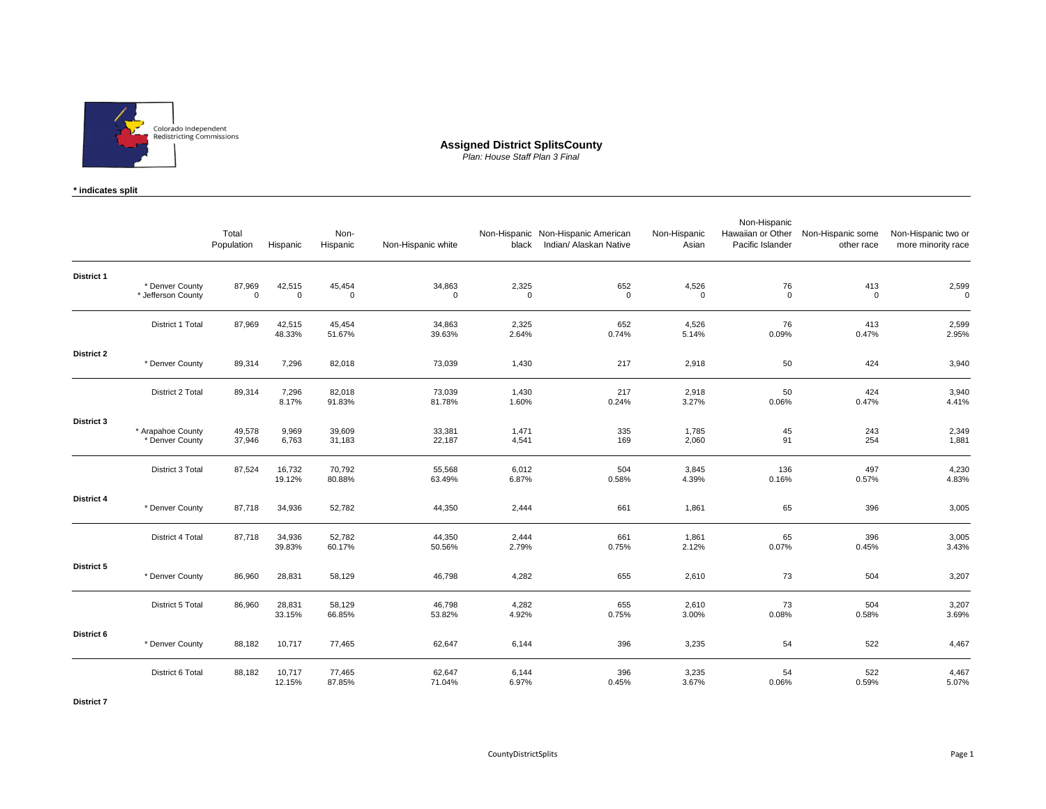

**Assigned District SplitsCounty** *Plan: House Staff Plan 3 Final*

**\* indicates split**

|                   |                                       | Total<br>Population   | Hispanic              | Non-<br>Hispanic      | Non-Hispanic white    | black                | Non-Hispanic Non-Hispanic American<br>Indian/ Alaskan Native | Non-Hispanic<br>Asian | Non-Hispanic<br>Hawaiian or Other<br>Pacific Islander | Non-Hispanic some<br>other race | Non-Hispanic two or<br>more minority race |
|-------------------|---------------------------------------|-----------------------|-----------------------|-----------------------|-----------------------|----------------------|--------------------------------------------------------------|-----------------------|-------------------------------------------------------|---------------------------------|-------------------------------------------|
| <b>District 1</b> | * Denver County<br>* Jefferson County | 87,969<br>$\mathbf 0$ | 42,515<br>$\mathsf 0$ | 45,454<br>$\mathbf 0$ | 34,863<br>$\mathbf 0$ | 2,325<br>$\mathbf 0$ | 652<br>$\mathbf 0$                                           | 4,526<br>$\mathbf 0$  | 76<br>$\mathsf 0$                                     | 413<br>$\mathbf 0$              | 2,599<br>$\mathbf 0$                      |
|                   | District 1 Total                      | 87,969                | 42,515<br>48.33%      | 45,454<br>51.67%      | 34,863<br>39.63%      | 2,325<br>2.64%       | 652<br>0.74%                                                 | 4,526<br>5.14%        | 76<br>0.09%                                           | 413<br>0.47%                    | 2,599<br>2.95%                            |
| <b>District 2</b> | * Denver County                       | 89,314                | 7,296                 | 82,018                | 73,039                | 1,430                | 217                                                          | 2,918                 | 50                                                    | 424                             | 3,940                                     |
|                   | District 2 Total                      | 89,314                | 7,296<br>8.17%        | 82,018<br>91.83%      | 73,039<br>81.78%      | 1,430<br>1.60%       | 217<br>0.24%                                                 | 2,918<br>3.27%        | 50<br>0.06%                                           | 424<br>0.47%                    | 3,940<br>4.41%                            |
| <b>District 3</b> | * Arapahoe County<br>* Denver County  | 49,578<br>37,946      | 9,969<br>6,763        | 39,609<br>31,183      | 33,381<br>22,187      | 1,471<br>4,541       | 335<br>169                                                   | 1,785<br>2,060        | 45<br>91                                              | 243<br>254                      | 2,349<br>1,881                            |
|                   | District 3 Total                      | 87,524                | 16,732<br>19.12%      | 70,792<br>80.88%      | 55,568<br>63.49%      | 6,012<br>6.87%       | 504<br>0.58%                                                 | 3,845<br>4.39%        | 136<br>0.16%                                          | 497<br>0.57%                    | 4,230<br>4.83%                            |
| District 4        | * Denver County                       | 87,718                | 34,936                | 52,782                | 44,350                | 2,444                | 661                                                          | 1,861                 | 65                                                    | 396                             | 3,005                                     |
|                   | District 4 Total                      | 87,718                | 34,936<br>39.83%      | 52,782<br>60.17%      | 44,350<br>50.56%      | 2,444<br>2.79%       | 661<br>0.75%                                                 | 1,861<br>2.12%        | 65<br>0.07%                                           | 396<br>0.45%                    | 3,005<br>3.43%                            |
| District 5        | * Denver County                       | 86,960                | 28,831                | 58,129                | 46,798                | 4,282                | 655                                                          | 2,610                 | 73                                                    | 504                             | 3,207                                     |
|                   | District 5 Total                      | 86,960                | 28,831<br>33.15%      | 58,129<br>66.85%      | 46,798<br>53.82%      | 4,282<br>4.92%       | 655<br>0.75%                                                 | 2,610<br>3.00%        | 73<br>0.08%                                           | 504<br>0.58%                    | 3,207<br>3.69%                            |
| District 6        | * Denver County                       | 88,182                | 10,717                | 77,465                | 62,647                | 6,144                | 396                                                          | 3,235                 | 54                                                    | 522                             | 4,467                                     |
|                   | District 6 Total                      | 88,182                | 10,717<br>12.15%      | 77,465<br>87.85%      | 62,647<br>71.04%      | 6,144<br>6.97%       | 396<br>0.45%                                                 | 3,235<br>3.67%        | 54<br>0.06%                                           | 522<br>0.59%                    | 4,467<br>5.07%                            |

**District 7**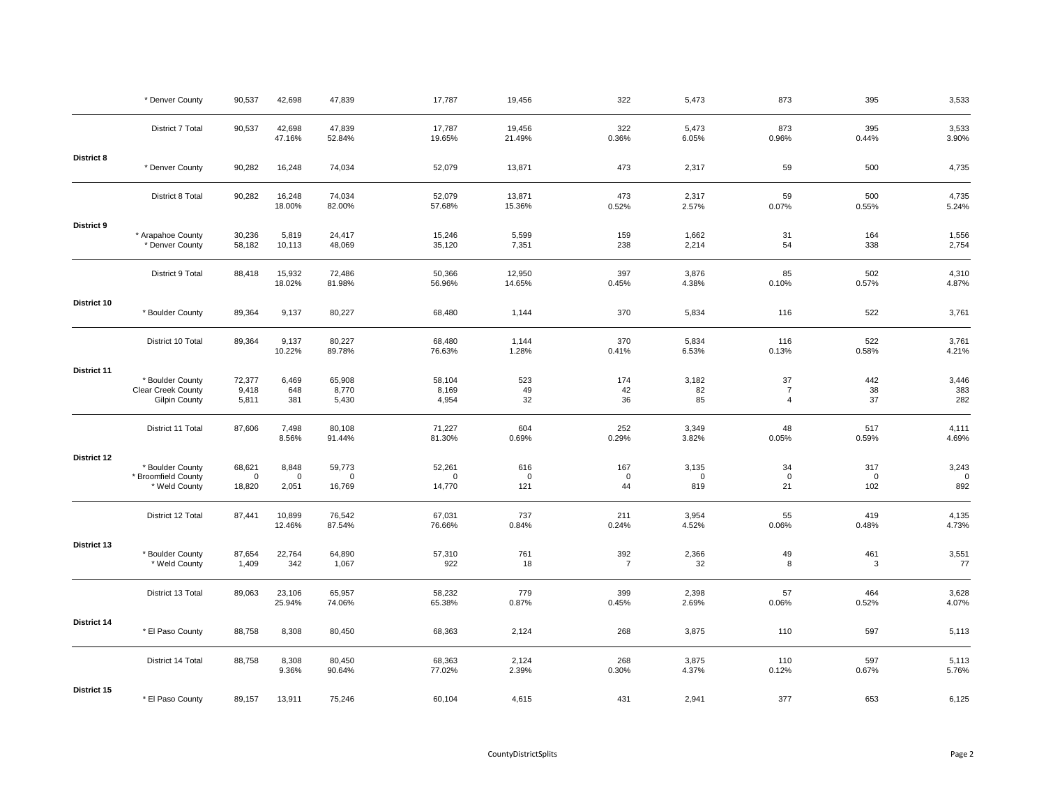|                    | * Denver County                                                | 90,537                          | 42,698                        | 47,839                          | 17,787                       | 19,456                    | 322                      | 5,473                       | 873                                    | 395                       | 3,533                    |
|--------------------|----------------------------------------------------------------|---------------------------------|-------------------------------|---------------------------------|------------------------------|---------------------------|--------------------------|-----------------------------|----------------------------------------|---------------------------|--------------------------|
|                    | District 7 Total                                               | 90,537                          | 42,698<br>47.16%              | 47,839<br>52.84%                | 17,787<br>19.65%             | 19,456<br>21.49%          | 322<br>0.36%             | 5,473<br>6.05%              | 873<br>0.96%                           | 395<br>0.44%              | 3,533<br>3.90%           |
| District 8         | * Denver County                                                | 90,282                          | 16,248                        | 74,034                          | 52,079                       | 13,871                    | 473                      | 2,317                       | 59                                     | 500                       | 4,735                    |
|                    | District 8 Total                                               | 90,282                          | 16,248<br>18.00%              | 74,034<br>82.00%                | 52,079<br>57.68%             | 13,871<br>15.36%          | 473<br>0.52%             | 2,317<br>2.57%              | 59<br>0.07%                            | 500<br>0.55%              | 4,735<br>5.24%           |
| <b>District 9</b>  | * Arapahoe County<br>* Denver County                           | 30,236<br>58,182                | 5,819<br>10,113               | 24,417<br>48,069                | 15,246<br>35,120             | 5,599<br>7,351            | 159<br>238               | 1,662<br>2,214              | 31<br>54                               | 164<br>338                | 1,556<br>2,754           |
|                    | District 9 Total                                               | 88,418                          | 15,932<br>18.02%              | 72,486<br>81.98%                | 50,366<br>56.96%             | 12,950<br>14.65%          | 397<br>0.45%             | 3,876<br>4.38%              | 85<br>0.10%                            | 502<br>0.57%              | 4,310<br>4.87%           |
| District 10        | * Boulder County                                               | 89,364                          | 9,137                         | 80,227                          | 68,480                       | 1,144                     | 370                      | 5,834                       | 116                                    | 522                       | 3,761                    |
|                    | District 10 Total                                              | 89,364                          | 9,137<br>10.22%               | 80,227<br>89.78%                | 68,480<br>76.63%             | 1,144<br>1.28%            | 370<br>0.41%             | 5,834<br>6.53%              | 116<br>0.13%                           | 522<br>0.58%              | 3,761<br>4.21%           |
| <b>District 11</b> | * Boulder County<br>Clear Creek County<br><b>Gilpin County</b> | 72,377<br>9,418<br>5,811        | 6,469<br>648<br>381           | 65,908<br>8,770<br>5,430        | 58,104<br>8,169<br>4,954     | 523<br>49<br>32           | 174<br>42<br>36          | 3,182<br>82<br>85           | 37<br>$\overline{7}$<br>$\overline{4}$ | 442<br>38<br>37           | 3,446<br>383<br>282      |
|                    | District 11 Total                                              | 87,606                          | 7,498<br>8.56%                | 80,108<br>91.44%                | 71,227<br>81.30%             | 604<br>0.69%              | 252<br>0.29%             | 3,349<br>3.82%              | 48<br>0.05%                            | 517<br>0.59%              | 4,111<br>4.69%           |
| <b>District 12</b> | * Boulder County<br>* Broomfield County<br>* Weld County       | 68,621<br>$\mathbf 0$<br>18,820 | 8,848<br>$\mathbf 0$<br>2,051 | 59,773<br>$\mathbf 0$<br>16,769 | 52,261<br>$\Omega$<br>14,770 | 616<br>$\mathbf 0$<br>121 | 167<br>$\mathbf 0$<br>44 | 3,135<br>$\mathbf 0$<br>819 | 34<br>$\mathbf 0$<br>21                | 317<br>$\mathbf 0$<br>102 | 3,243<br>$\Omega$<br>892 |
|                    | District 12 Total                                              | 87,441                          | 10,899<br>12.46%              | 76,542<br>87.54%                | 67,031<br>76.66%             | 737<br>0.84%              | 211<br>0.24%             | 3,954<br>4.52%              | 55<br>0.06%                            | 419<br>0.48%              | 4,135<br>4.73%           |
| District 13        | * Boulder County<br>* Weld County                              | 87,654<br>1,409                 | 22,764<br>342                 | 64,890<br>1,067                 | 57,310<br>922                | 761<br>18                 | 392<br>$\overline{7}$    | 2,366<br>32                 | 49<br>8                                | 461<br>3                  | 3,551<br>77              |
|                    | District 13 Total                                              | 89,063                          | 23,106<br>25.94%              | 65,957<br>74.06%                | 58,232<br>65.38%             | 779<br>0.87%              | 399<br>0.45%             | 2,398<br>2.69%              | 57<br>0.06%                            | 464<br>0.52%              | 3,628<br>4.07%           |
| <b>District 14</b> | * El Paso County                                               | 88,758                          | 8,308                         | 80,450                          | 68,363                       | 2,124                     | 268                      | 3,875                       | 110                                    | 597                       | 5,113                    |
|                    | District 14 Total                                              | 88,758                          | 8,308<br>9.36%                | 80,450<br>90.64%                | 68,363<br>77.02%             | 2,124<br>2.39%            | 268<br>0.30%             | 3,875<br>4.37%              | 110<br>0.12%                           | 597<br>0.67%              | 5,113<br>5.76%           |
| District 15        | * El Paso County                                               | 89,157                          | 13,911                        | 75,246                          | 60,104                       | 4,615                     | 431                      | 2,941                       | 377                                    | 653                       | 6,125                    |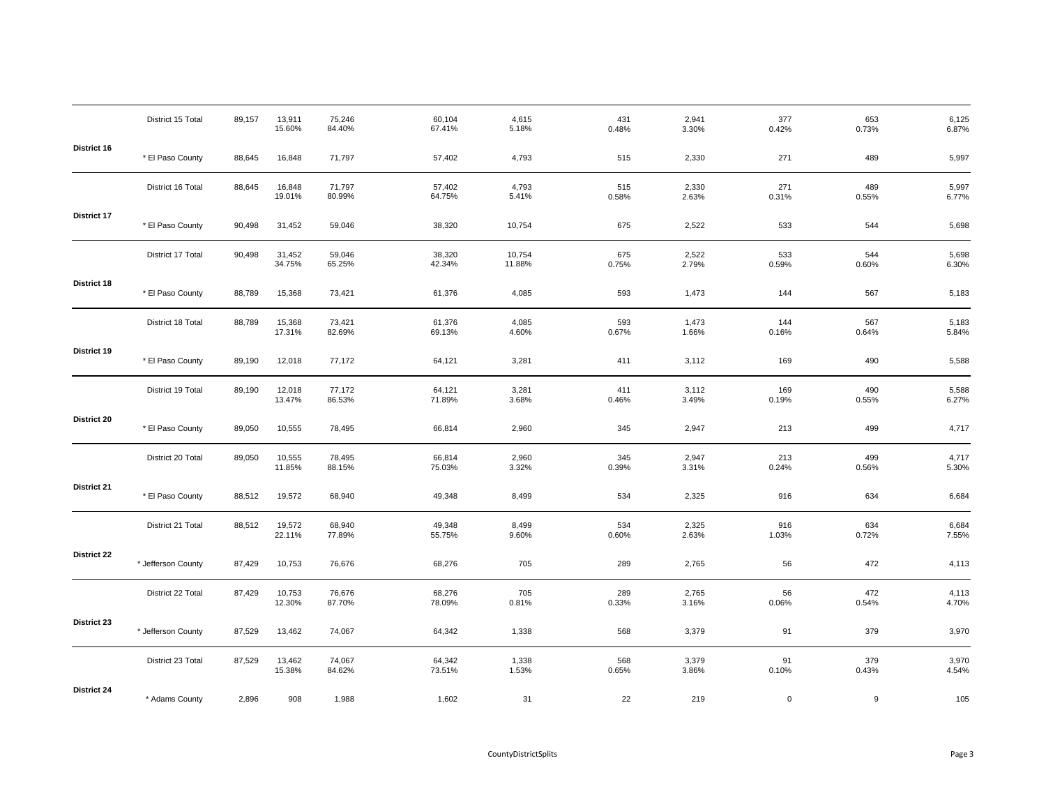|             | District 15 Total  | 89,157 | 13,911<br>15.60% | 75,246<br>84.40% | 60,104<br>67.41% | 4,615<br>5.18%   | 431<br>0.48% | 2,941<br>3.30% | 377<br>0.42% | 653<br>0.73% | 6,125<br>6.87%      |
|-------------|--------------------|--------|------------------|------------------|------------------|------------------|--------------|----------------|--------------|--------------|---------------------|
| District 16 | * El Paso County   | 88,645 | 16,848           | 71,797           | 57,402           | 4,793            | 515          | 2,330          | 271          | 489          | 5,997               |
|             | District 16 Total  | 88,645 | 16,848<br>19.01% | 71,797<br>80.99% | 57,402<br>64.75% | 4,793<br>5.41%   | 515<br>0.58% | 2,330<br>2.63% | 271<br>0.31% | 489<br>0.55% | 5,997<br>6.77%      |
| District 17 | * El Paso County   | 90,498 | 31,452           | 59,046           | 38,320           | 10,754           | 675          | 2,522          | 533          | 544          | 5,698               |
|             | District 17 Total  | 90,498 | 31,452<br>34.75% | 59,046<br>65.25% | 38,320<br>42.34% | 10,754<br>11.88% | 675<br>0.75% | 2,522<br>2.79% | 533<br>0.59% | 544<br>0.60% | 5,698<br>6.30%      |
| District 18 | * El Paso County   | 88,789 | 15,368           | 73,421           | 61,376           | 4,085            | 593          | 1,473          | 144          | 567          | 5,183               |
|             | District 18 Total  | 88,789 | 15,368<br>17.31% | 73,421<br>82.69% | 61,376<br>69.13% | 4,085<br>4.60%   | 593<br>0.67% | 1,473<br>1.66% | 144<br>0.16% | 567<br>0.64% | 5,183<br>5.84%      |
| District 19 | * El Paso County   | 89,190 | 12,018           | 77,172           | 64,121           | 3,281            | 411          | 3,112          | 169          | 490          | 5,588               |
|             | District 19 Total  | 89,190 | 12,018<br>13.47% | 77,172<br>86.53% | 64,121<br>71.89% | 3,281<br>3.68%   | 411<br>0.46% | 3,112<br>3.49% | 169<br>0.19% | 490<br>0.55% | 5,588<br>6.27%      |
| District 20 | * El Paso County   | 89,050 | 10,555           | 78,495           | 66,814           | 2,960            | 345          | 2,947          | 213          | 499          | 4,717               |
|             | District 20 Total  | 89,050 | 10,555<br>11.85% | 78,495<br>88.15% | 66,814<br>75.03% | 2,960<br>3.32%   | 345<br>0.39% | 2,947<br>3.31% | 213<br>0.24% | 499<br>0.56% | 4,717<br>5.30%      |
| District 21 | * El Paso County   | 88,512 | 19,572           | 68,940           | 49,348           | 8,499            | 534          | 2,325          | 916          | 634          | 6,684               |
|             | District 21 Total  | 88,512 | 19,572<br>22.11% | 68,940<br>77.89% | 49,348<br>55.75% | 8,499<br>9.60%   | 534<br>0.60% | 2,325<br>2.63% | 916<br>1.03% | 634<br>0.72% | 6,684<br>7.55%      |
| District 22 | * Jefferson County | 87,429 | 10,753           | 76,676           | 68,276           | 705              | 289          | 2,765          | 56           | 472          | 4,113               |
|             | District 22 Total  | 87,429 | 10,753<br>12.30% | 76,676<br>87.70% | 68,276<br>78.09% | 705<br>0.81%     | 289<br>0.33% | 2,765<br>3.16% | 56<br>0.06%  | 472<br>0.54% | 4,113<br>4.70%      |
| District 23 | * Jefferson County | 87,529 | 13,462           | 74,067           | 64,342           | 1,338            | 568          | 3,379          | 91           | 379          | 3,970               |
|             | District 23 Total  | 87,529 | 13,462<br>15.38% | 74,067<br>84.62% | 64,342<br>73.51% | 1,338<br>1.53%   | 568<br>0.65% | 3,379<br>3.86% | 91<br>0.10%  | 379<br>0.43% | $3,970$<br>$4.54\%$ |
| District 24 | * Adams County     | 2,896  | 908              | 1,988            | 1,602            | 31               | 22           | 219            | $\mathbf 0$  | 9            | 105                 |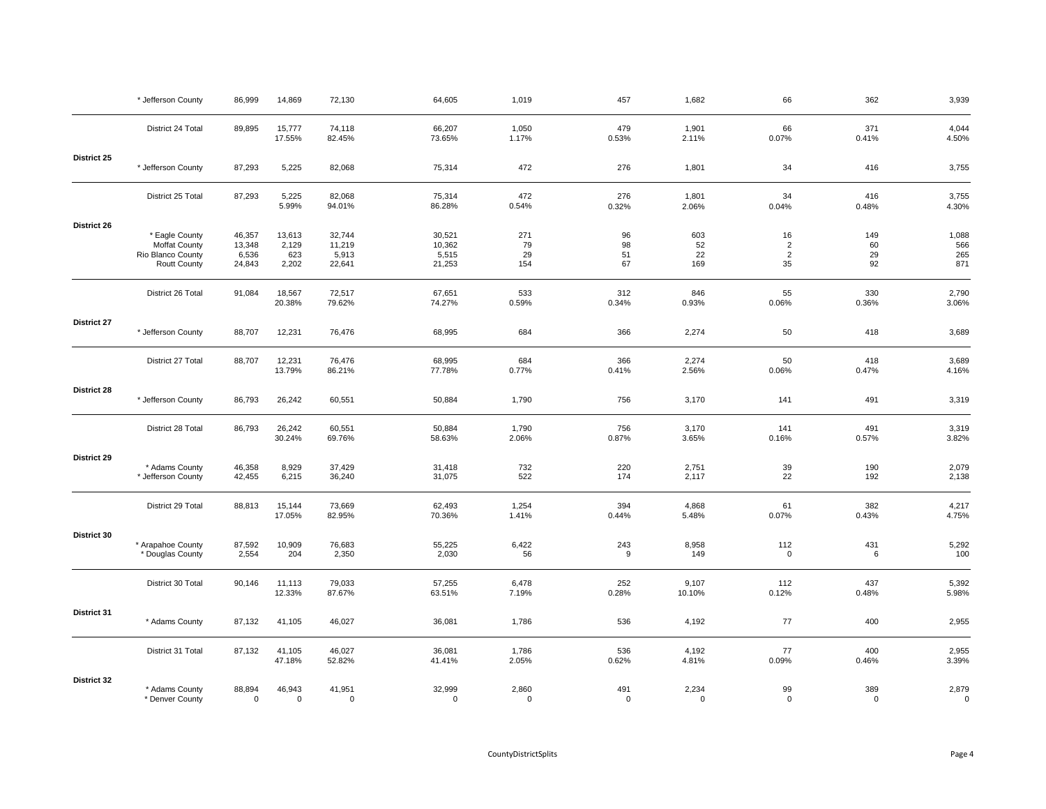|                    | * Jefferson County                     | 86,999                | 14,869                | 72,130                | 64,605                | 1,019                | 457             | 1,682             | 66                 | 362                | 3,939                |
|--------------------|----------------------------------------|-----------------------|-----------------------|-----------------------|-----------------------|----------------------|-----------------|-------------------|--------------------|--------------------|----------------------|
|                    | District 24 Total                      | 89,895                | 15,777<br>17.55%      | 74,118<br>82.45%      | 66,207<br>73.65%      | 1,050<br>1.17%       | 479<br>0.53%    | 1,901<br>2.11%    | 66<br>0.07%        | 371<br>0.41%       | 4,044<br>4.50%       |
| District 25        | * Jefferson County                     | 87,293                | 5,225                 | 82,068                | 75,314                | 472                  | 276             | 1,801             | 34                 | 416                | 3,755                |
|                    | District 25 Total                      | 87,293                | 5,225<br>5.99%        | 82,068<br>94.01%      | 75,314<br>86.28%      | 472<br>0.54%         | 276<br>0.32%    | 1,801<br>2.06%    | 34<br>0.04%        | 416<br>0.48%       | 3,755<br>4.30%       |
| District 26        |                                        |                       |                       |                       |                       |                      |                 |                   |                    |                    |                      |
|                    | * Eagle County<br><b>Moffat County</b> | 46,357<br>13,348      | 13,613<br>2,129       | 32,744<br>11,219      | 30,521<br>10,362      | 271<br>79            | 96<br>98        | 603<br>52         | 16<br>$\sqrt{2}$   | 149<br>60          | 1,088<br>566         |
|                    | Rio Blanco County                      | 6,536                 | 623                   | 5,913                 | 5,515                 | 29                   | 51              | 22                | $\overline{2}$     | 29                 | 265                  |
|                    | <b>Routt County</b>                    | 24,843                | 2,202                 | 22,641                | 21,253                | 154                  | 67              | 169               | 35                 | 92                 | 871                  |
|                    | District 26 Total                      | 91,084                | 18,567<br>20.38%      | 72,517<br>79.62%      | 67,651<br>74.27%      | 533<br>0.59%         | 312<br>0.34%    | 846<br>0.93%      | 55<br>0.06%        | 330<br>0.36%       | 2,790<br>3.06%       |
| <b>District 27</b> |                                        |                       |                       |                       |                       |                      |                 |                   |                    |                    |                      |
|                    | * Jefferson County                     | 88,707                | 12,231                | 76,476                | 68,995                | 684                  | 366             | 2,274             | 50                 | 418                | 3,689                |
|                    | District 27 Total                      | 88,707                | 12,231                | 76,476                | 68,995                | 684                  | 366             | 2,274             | 50                 | 418                | 3,689                |
|                    |                                        |                       | 13.79%                | 86.21%                | 77.78%                | 0.77%                | 0.41%           | 2.56%             | 0.06%              | 0.47%              | 4.16%                |
| <b>District 28</b> | * Jefferson County                     | 86,793                | 26,242                | 60,551                | 50,884                | 1,790                | 756             | 3,170             | 141                | 491                | 3,319                |
|                    | District 28 Total                      | 86,793                | 26,242<br>30.24%      | 60,551<br>69.76%      | 50,884<br>58.63%      | 1,790<br>2.06%       | 756<br>0.87%    | 3,170<br>3.65%    | 141<br>0.16%       | 491<br>0.57%       | 3,319<br>3.82%       |
| District 29        | * Adams County                         | 46,358                | 8,929                 | 37,429                | 31,418                | 732                  | 220             | 2,751             | 39                 | 190                | 2,079                |
|                    | * Jefferson County                     | 42,455                | 6,215                 | 36,240                | 31,075                | 522                  | 174             | 2,117             | 22                 | 192                | 2,138                |
|                    | District 29 Total                      | 88,813                | 15,144<br>17.05%      | 73,669<br>82.95%      | 62,493<br>70.36%      | 1,254<br>1.41%       | 394<br>0.44%    | 4,868<br>5.48%    | 61<br>0.07%        | 382<br>0.43%       | 4,217<br>4.75%       |
| District 30        |                                        |                       |                       |                       |                       |                      |                 |                   |                    |                    |                      |
|                    | * Arapahoe County<br>* Douglas County  | 87,592<br>2,554       | 10,909<br>204         | 76,683<br>2,350       | 55,225<br>2,030       | 6,422<br>56          | 243<br>9        | 8,958<br>149      | 112<br>$\mathsf 0$ | 431<br>6           | 5,292<br>100         |
|                    | District 30 Total                      | 90,146                | 11,113<br>12.33%      | 79,033<br>87.67%      | 57,255<br>63.51%      | 6,478<br>7.19%       | 252<br>0.28%    | 9,107<br>10.10%   | 112<br>0.12%       | 437<br>0.48%       | 5,392<br>5.98%       |
|                    |                                        |                       |                       |                       |                       |                      |                 |                   |                    |                    |                      |
| District 31        | * Adams County                         | 87,132                | 41,105                | 46,027                | 36,081                | 1,786                | 536             | 4,192             | 77                 | 400                | 2,955                |
|                    | District 31 Total                      | 87,132                | 41,105<br>47.18%      | 46,027<br>52.82%      | 36,081<br>41.41%      | 1,786<br>2.05%       | 536<br>0.62%    | 4,192<br>4.81%    | 77<br>0.09%        | 400<br>0.46%       | 2,955<br>3.39%       |
| District 32        |                                        |                       |                       |                       |                       |                      |                 |                   |                    |                    |                      |
|                    | * Adams County<br>* Denver County      | 88,894<br>$\mathbf 0$ | 46,943<br>$\mathbf 0$ | 41,951<br>$\mathbf 0$ | 32,999<br>$\mathbf 0$ | 2,860<br>$\mathbf 0$ | 491<br>$\Omega$ | 2,234<br>$\Omega$ | 99<br>$\mathbf 0$  | 389<br>$\mathbf 0$ | 2,879<br>$\mathbf 0$ |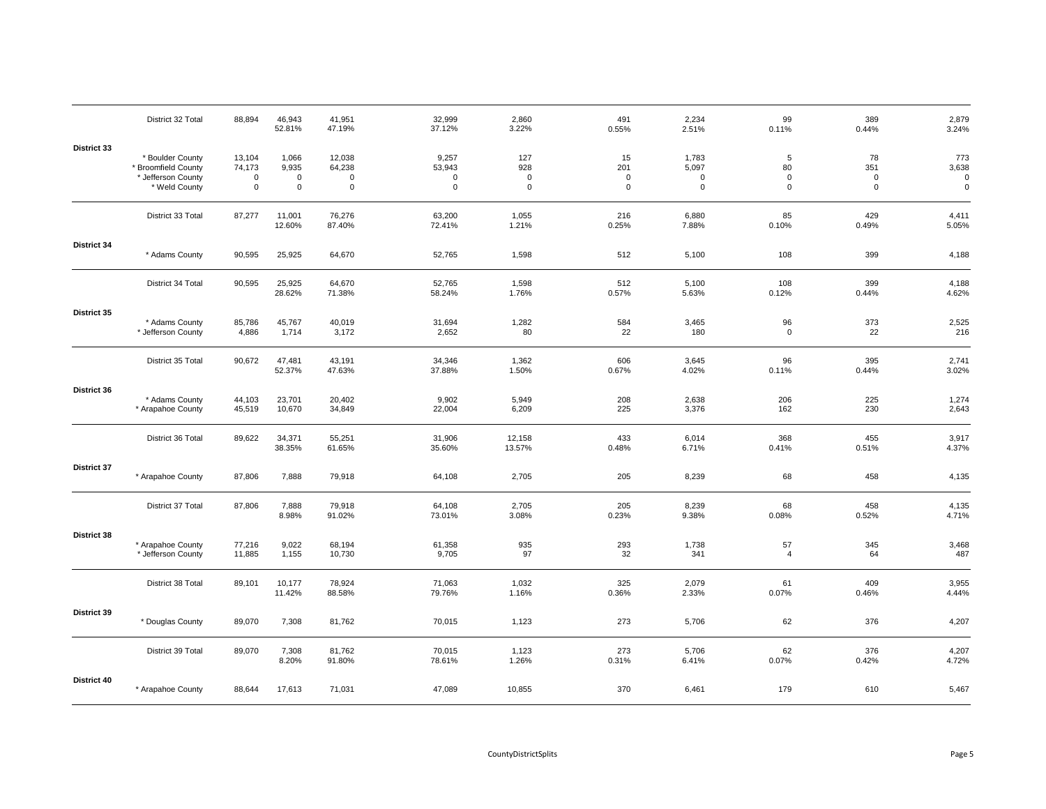|             | District 32 Total                                                              | 88,894                                         | 46,943<br>52.81%                             | 41,951<br>47.19%                               | 32,999<br>37.12%                              | 2,860<br>3.22%       | 491<br>0.55%                        | 2,234<br>2.51%                               | 99<br>0.11%                               | 389<br>0.44%                          | 2,879<br>3.24%                             |
|-------------|--------------------------------------------------------------------------------|------------------------------------------------|----------------------------------------------|------------------------------------------------|-----------------------------------------------|----------------------|-------------------------------------|----------------------------------------------|-------------------------------------------|---------------------------------------|--------------------------------------------|
| District 33 | * Boulder County<br>* Broomfield County<br>* Jefferson County<br>* Weld County | 13,104<br>74,173<br>$\mathsf 0$<br>$\mathsf 0$ | 1,066<br>9,935<br>$\mathbf 0$<br>$\mathbf 0$ | 12,038<br>64,238<br>$\mathbf 0$<br>$\mathbf 0$ | 9,257<br>53,943<br>$\mathbf 0$<br>$\mathsf 0$ | 127<br>928<br>0<br>0 | 15<br>201<br>$\pmb{0}$<br>$\pmb{0}$ | 1,783<br>5,097<br>$\mathbf 0$<br>$\mathbf 0$ | $5\phantom{.0}$<br>80<br>0<br>$\mathsf 0$ | 78<br>351<br>$\pmb{0}$<br>$\mathsf 0$ | 773<br>3,638<br>$\mathbf 0$<br>$\mathbf 0$ |
|             | District 33 Total                                                              | 87,277                                         | 11,001<br>12.60%                             | 76,276<br>87.40%                               | 63,200<br>72.41%                              | 1,055<br>1.21%       | 216<br>0.25%                        | 6,880<br>7.88%                               | 85<br>0.10%                               | 429<br>0.49%                          | 4,411<br>5.05%                             |
| District 34 | * Adams County                                                                 | 90,595                                         | 25,925                                       | 64,670                                         | 52,765                                        | 1,598                | 512                                 | 5,100                                        | 108                                       | 399                                   | 4,188                                      |
|             | District 34 Total                                                              | 90,595                                         | 25,925<br>28.62%                             | 64,670<br>71.38%                               | 52,765<br>58.24%                              | 1,598<br>1.76%       | 512<br>0.57%                        | 5,100<br>5.63%                               | 108<br>0.12%                              | 399<br>0.44%                          | 4,188<br>4.62%                             |
| District 35 | * Adams County<br>* Jefferson County                                           | 85,786<br>4,886                                | 45,767<br>1,714                              | 40,019<br>3,172                                | 31,694<br>2,652                               | 1,282<br>80          | 584<br>22                           | 3,465<br>180                                 | 96<br>$\mathbf 0$                         | 373<br>22                             | 2,525<br>216                               |
|             | District 35 Total                                                              | 90,672                                         | 47,481<br>52.37%                             | 43,191<br>47.63%                               | 34,346<br>37.88%                              | 1,362<br>1.50%       | 606<br>0.67%                        | 3,645<br>4.02%                               | 96<br>0.11%                               | 395<br>0.44%                          | 2,741<br>3.02%                             |
| District 36 | * Adams County<br>* Arapahoe County                                            | 44,103<br>45,519                               | 23,701<br>10,670                             | 20,402<br>34,849                               | 9,902<br>22,004                               | 5,949<br>6,209       | 208<br>225                          | 2,638<br>3,376                               | 206<br>162                                | 225<br>230                            | 1,274<br>2,643                             |
|             | District 36 Total                                                              | 89,622                                         | 34,371<br>38.35%                             | 55,251<br>61.65%                               | 31,906<br>35.60%                              | 12,158<br>13.57%     | 433<br>0.48%                        | 6,014<br>6.71%                               | 368<br>0.41%                              | 455<br>0.51%                          | 3,917<br>4.37%                             |
| District 37 | * Arapahoe County                                                              | 87,806                                         | 7,888                                        | 79,918                                         | 64,108                                        | 2,705                | 205                                 | 8,239                                        | 68                                        | 458                                   | 4,135                                      |
|             | District 37 Total                                                              | 87,806                                         | 7,888<br>8.98%                               | 79,918<br>91.02%                               | 64,108<br>73.01%                              | 2,705<br>3.08%       | 205<br>0.23%                        | 8,239<br>9.38%                               | 68<br>0.08%                               | 458<br>0.52%                          | 4,135<br>4.71%                             |
| District 38 | * Arapahoe County<br>* Jefferson County                                        | 77,216<br>11,885                               | 9,022<br>1,155                               | 68,194<br>10,730                               | 61,358<br>9,705                               | 935<br>97            | 293<br>32                           | 1,738<br>341                                 | 57<br>$\overline{4}$                      | 345<br>64                             | 3,468<br>487                               |
|             | District 38 Total                                                              | 89,101                                         | 10,177<br>11.42%                             | 78,924<br>88.58%                               | 71,063<br>79.76%                              | 1,032<br>1.16%       | 325<br>0.36%                        | 2,079<br>2.33%                               | 61<br>0.07%                               | 409<br>0.46%                          | 3,955<br>4.44%                             |
| District 39 | * Douglas County                                                               | 89,070                                         | 7,308                                        | 81,762                                         | 70,015                                        | 1,123                | 273                                 | 5,706                                        | 62                                        | 376                                   | 4,207                                      |
|             | District 39 Total                                                              | 89,070                                         | 7,308<br>8.20%                               | 81,762<br>91.80%                               | 70,015<br>78.61%                              | 1,123<br>1.26%       | 273<br>0.31%                        | 5,706<br>6.41%                               | 62<br>0.07%                               | 376<br>0.42%                          | 4,207<br>4.72%                             |
| District 40 | * Arapahoe County                                                              | 88,644                                         | 17,613                                       | 71,031                                         | 47,089                                        | 10,855               | 370                                 | 6,461                                        | 179                                       | 610                                   | 5,467                                      |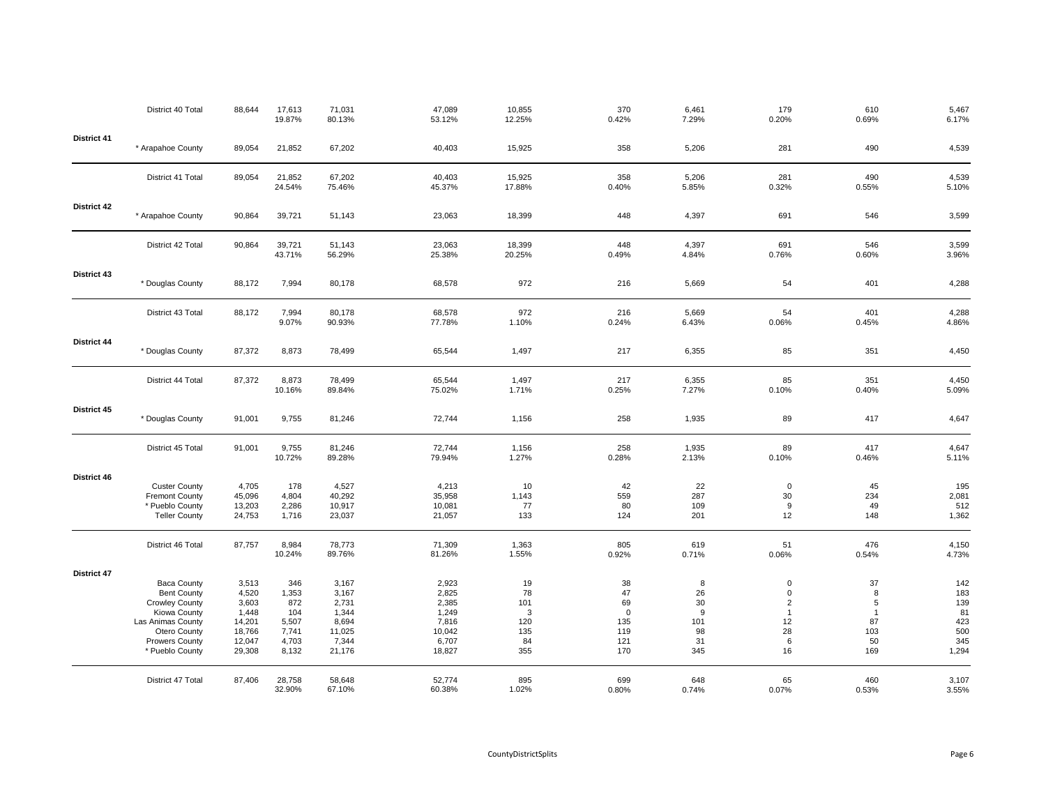|                    | District 40 Total                                                                                                                                                  | 88,644                                                                   | 17,613<br>19.87%                                               | 71,031<br>80.13%                                                       | 47,089<br>53.12%                                                       | 10,855<br>12.25%                                | 370<br>0.42%                                              | 6,461<br>7.29%                               | 179<br>0.20%                                                              | 610<br>0.69%                                                      | 5,467<br>6.17%                                        |
|--------------------|--------------------------------------------------------------------------------------------------------------------------------------------------------------------|--------------------------------------------------------------------------|----------------------------------------------------------------|------------------------------------------------------------------------|------------------------------------------------------------------------|-------------------------------------------------|-----------------------------------------------------------|----------------------------------------------|---------------------------------------------------------------------------|-------------------------------------------------------------------|-------------------------------------------------------|
| District 41        | * Arapahoe County                                                                                                                                                  | 89,054                                                                   | 21,852                                                         | 67,202                                                                 | 40,403                                                                 | 15,925                                          | 358                                                       | 5,206                                        | 281                                                                       | 490                                                               | 4,539                                                 |
|                    | District 41 Total                                                                                                                                                  | 89,054                                                                   | 21,852<br>24.54%                                               | 67,202<br>75.46%                                                       | 40,403<br>45.37%                                                       | 15,925<br>17.88%                                | 358<br>0.40%                                              | 5,206<br>5.85%                               | 281<br>0.32%                                                              | 490<br>0.55%                                                      | 4,539<br>5.10%                                        |
| <b>District 42</b> | * Arapahoe County                                                                                                                                                  | 90,864                                                                   | 39,721                                                         | 51,143                                                                 | 23,063                                                                 | 18,399                                          | 448                                                       | 4,397                                        | 691                                                                       | 546                                                               | 3,599                                                 |
|                    | District 42 Total                                                                                                                                                  | 90,864                                                                   | 39,721<br>43.71%                                               | 51,143<br>56.29%                                                       | 23,063<br>25.38%                                                       | 18,399<br>20.25%                                | 448<br>0.49%                                              | 4,397<br>4.84%                               | 691<br>0.76%                                                              | 546<br>0.60%                                                      | 3,599<br>3.96%                                        |
| District 43        | * Douglas County                                                                                                                                                   | 88,172                                                                   | 7,994                                                          | 80,178                                                                 | 68,578                                                                 | 972                                             | 216                                                       | 5,669                                        | 54                                                                        | 401                                                               | 4,288                                                 |
|                    | District 43 Total                                                                                                                                                  | 88,172                                                                   | 7,994<br>9.07%                                                 | 80,178<br>90.93%                                                       | 68,578<br>77.78%                                                       | 972<br>1.10%                                    | 216<br>0.24%                                              | 5,669<br>6.43%                               | 54<br>0.06%                                                               | 401<br>0.45%                                                      | 4,288<br>4.86%                                        |
| District 44        | * Douglas County                                                                                                                                                   | 87,372                                                                   | 8,873                                                          | 78,499                                                                 | 65,544                                                                 | 1,497                                           | 217                                                       | 6,355                                        | 85                                                                        | 351                                                               | 4,450                                                 |
|                    | District 44 Total                                                                                                                                                  | 87,372                                                                   | 8,873<br>10.16%                                                | 78,499<br>89.84%                                                       | 65,544<br>75.02%                                                       | 1,497<br>1.71%                                  | 217<br>0.25%                                              | 6,355<br>7.27%                               | 85<br>0.10%                                                               | 351<br>0.40%                                                      | 4,450<br>5.09%                                        |
| District 45        | * Douglas County                                                                                                                                                   | 91,001                                                                   | 9,755                                                          | 81,246                                                                 | 72,744                                                                 | 1,156                                           | 258                                                       | 1,935                                        | 89                                                                        | 417                                                               | 4,647                                                 |
|                    | District 45 Total                                                                                                                                                  | 91,001                                                                   | 9,755<br>10.72%                                                | 81,246<br>89.28%                                                       | 72,744<br>79.94%                                                       | 1,156<br>1.27%                                  | 258<br>0.28%                                              | 1,935<br>2.13%                               | 89<br>0.10%                                                               | 417<br>0.46%                                                      | 4,647<br>5.11%                                        |
| District 46        | <b>Custer County</b><br><b>Fremont County</b><br>* Pueblo County<br><b>Teller County</b>                                                                           | 4,705<br>45,096<br>13,203<br>24,753                                      | 178<br>4,804<br>2,286<br>1,716                                 | 4,527<br>40,292<br>10,917<br>23,037                                    | 4,213<br>35,958<br>10,081<br>21,057                                    | 10<br>1,143<br>77<br>133                        | 42<br>559<br>80<br>124                                    | 22<br>287<br>109<br>201                      | $\mathbf 0$<br>30<br>9<br>12                                              | 45<br>234<br>49<br>148                                            | 195<br>2,081<br>512<br>1,362                          |
|                    | District 46 Total                                                                                                                                                  | 87,757                                                                   | 8,984<br>10.24%                                                | 78,773<br>89.76%                                                       | 71,309<br>81.26%                                                       | 1,363<br>1.55%                                  | 805<br>0.92%                                              | 619<br>0.71%                                 | 51<br>0.06%                                                               | 476<br>0.54%                                                      | 4,150<br>4.73%                                        |
| <b>District 47</b> | <b>Baca County</b><br><b>Bent County</b><br><b>Crowley County</b><br>Kiowa County<br>Las Animas County<br>Otero County<br><b>Prowers County</b><br>* Pueblo County | 3,513<br>4,520<br>3,603<br>1,448<br>14,201<br>18,766<br>12,047<br>29,308 | 346<br>1,353<br>872<br>104<br>5,507<br>7,741<br>4,703<br>8,132 | 3,167<br>3,167<br>2,731<br>1,344<br>8,694<br>11,025<br>7,344<br>21,176 | 2,923<br>2,825<br>2,385<br>1,249<br>7,816<br>10,042<br>6,707<br>18,827 | 19<br>78<br>101<br>3<br>120<br>135<br>84<br>355 | 38<br>47<br>69<br>$\mathbf 0$<br>135<br>119<br>121<br>170 | 8<br>26<br>30<br>9<br>101<br>98<br>31<br>345 | $\mathsf 0$<br>0<br>$\overline{2}$<br>$\mathbf{1}$<br>12<br>28<br>6<br>16 | 37<br>8<br>$\sqrt{5}$<br>$\overline{1}$<br>87<br>103<br>50<br>169 | 142<br>183<br>139<br>81<br>423<br>500<br>345<br>1,294 |
|                    | District 47 Total                                                                                                                                                  | 87,406                                                                   | 28,758<br>32.90%                                               | 58,648<br>67.10%                                                       | 52,774<br>60.38%                                                       | 895<br>1.02%                                    | 699<br>0.80%                                              | 648<br>0.74%                                 | 65<br>0.07%                                                               | 460<br>0.53%                                                      | 3,107<br>3.55%                                        |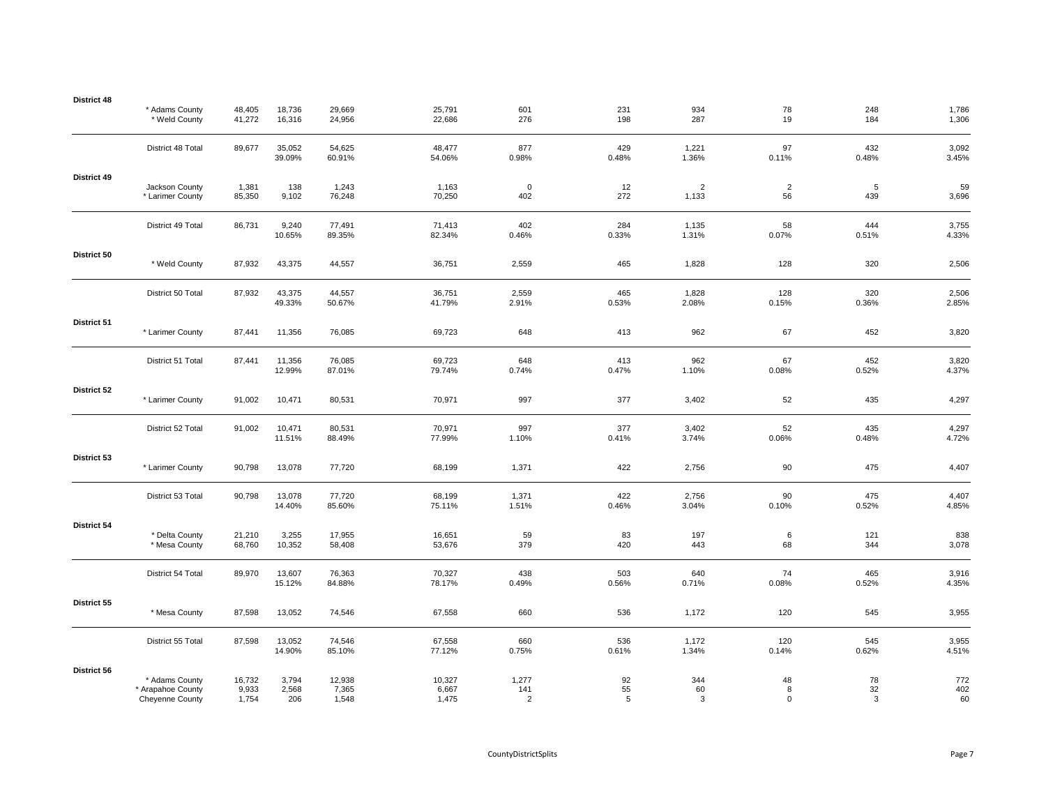| District 48 | * Adams County<br>* Weld County                               | 48,405<br>41,272         | 18,736<br>16,316      | 29,669<br>24,956         | 25,791<br>22,686         | 601<br>276                     | 231<br>198    | 934<br>287              | 78<br>19               | 248<br>184    | 1,786<br>1,306   |
|-------------|---------------------------------------------------------------|--------------------------|-----------------------|--------------------------|--------------------------|--------------------------------|---------------|-------------------------|------------------------|---------------|------------------|
|             | District 48 Total                                             | 89,677                   | 35,052<br>39.09%      | 54,625<br>60.91%         | 48,477<br>54.06%         | 877<br>0.98%                   | 429<br>0.48%  | 1,221<br>1.36%          | 97<br>0.11%            | 432<br>0.48%  | 3,092<br>3.45%   |
| District 49 | Jackson County<br>* Larimer County                            | 1,381<br>85,350          | 138<br>9,102          | 1,243<br>76,248          | 1,163<br>70,250          | $\mathbf 0$<br>402             | 12<br>272     | $\overline{2}$<br>1,133 | $\overline{2}$<br>56   | 5<br>439      | 59<br>3,696      |
|             | District 49 Total                                             | 86,731                   | 9,240<br>10.65%       | 77,491<br>89.35%         | 71,413<br>82.34%         | 402<br>0.46%                   | 284<br>0.33%  | 1,135<br>1.31%          | 58<br>0.07%            | 444<br>0.51%  | 3,755<br>4.33%   |
| District 50 | * Weld County                                                 | 87,932                   | 43,375                | 44,557                   | 36,751                   | 2,559                          | 465           | 1,828                   | 128                    | 320           | 2,506            |
|             | District 50 Total                                             | 87,932                   | 43,375<br>49.33%      | 44,557<br>50.67%         | 36,751<br>41.79%         | 2,559<br>2.91%                 | 465<br>0.53%  | 1,828<br>2.08%          | 128<br>0.15%           | 320<br>0.36%  | 2,506<br>2.85%   |
| District 51 | * Larimer County                                              | 87,441                   | 11,356                | 76,085                   | 69,723                   | 648                            | 413           | 962                     | 67                     | 452           | 3,820            |
|             | District 51 Total                                             | 87,441                   | 11,356<br>12.99%      | 76,085<br>87.01%         | 69,723<br>79.74%         | 648<br>0.74%                   | 413<br>0.47%  | 962<br>1.10%            | 67<br>0.08%            | 452<br>0.52%  | 3,820<br>4.37%   |
| District 52 | * Larimer County                                              | 91,002                   | 10,471                | 80,531                   | 70,971                   | 997                            | 377           | 3,402                   | 52                     | 435           | 4,297            |
|             | District 52 Total                                             | 91,002                   | 10,471<br>11.51%      | 80,531<br>88.49%         | 70,971<br>77.99%         | 997<br>1.10%                   | 377<br>0.41%  | 3,402<br>3.74%          | 52<br>0.06%            | 435<br>0.48%  | 4,297<br>4.72%   |
| District 53 | * Larimer County                                              | 90,798                   | 13,078                | 77,720                   | 68,199                   | 1,371                          | 422           | 2,756                   | 90                     | 475           | 4,407            |
|             | District 53 Total                                             | 90,798                   | 13,078<br>14.40%      | 77,720<br>85.60%         | 68,199<br>75.11%         | 1,371<br>1.51%                 | 422<br>0.46%  | 2,756<br>3.04%          | 90<br>0.10%            | 475<br>0.52%  | 4,407<br>4.85%   |
| District 54 | * Delta County<br>* Mesa County                               | 21,210<br>68,760         | 3,255<br>10,352       | 17,955<br>58,408         | 16,651<br>53,676         | 59<br>379                      | 83<br>420     | 197<br>443              | 6<br>68                | 121<br>344    | 838<br>3,078     |
|             | District 54 Total                                             | 89,970                   | 13,607<br>15.12%      | 76,363<br>84.88%         | 70,327<br>78.17%         | 438<br>0.49%                   | 503<br>0.56%  | 640<br>0.71%            | 74<br>0.08%            | 465<br>0.52%  | 3,916<br>4.35%   |
| District 55 | * Mesa County                                                 | 87,598                   | 13,052                | 74,546                   | 67,558                   | 660                            | 536           | 1,172                   | 120                    | 545           | 3,955            |
|             | District 55 Total                                             | 87,598                   | 13,052<br>14.90%      | 74,546<br>85.10%         | 67,558<br>77.12%         | 660<br>0.75%                   | 536<br>0.61%  | 1,172<br>1.34%          | 120<br>0.14%           | 545<br>0.62%  | 3,955<br>4.51%   |
| District 56 | * Adams County<br>* Arapahoe County<br><b>Cheyenne County</b> | 16,732<br>9,933<br>1,754 | 3,794<br>2,568<br>206 | 12,938<br>7,365<br>1,548 | 10,327<br>6,667<br>1,475 | 1,277<br>141<br>$\overline{2}$ | 92<br>55<br>5 | 344<br>60<br>3          | 48<br>8<br>$\mathbf 0$ | 78<br>32<br>3 | 772<br>402<br>60 |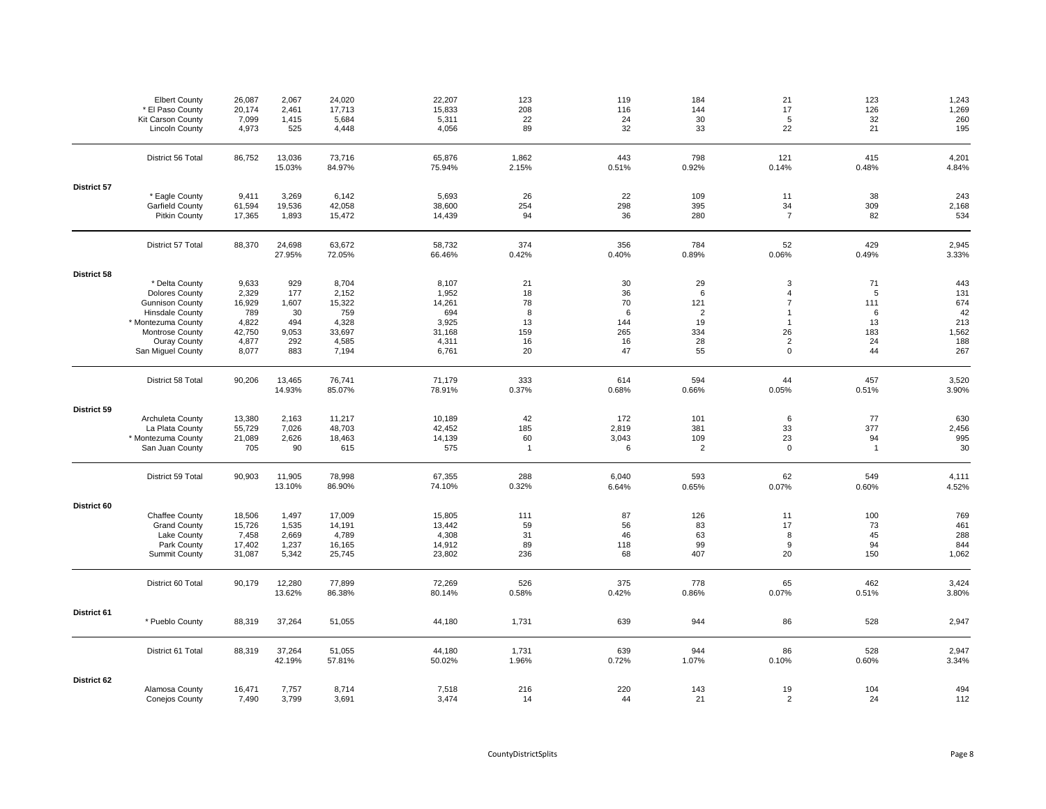|             | <b>Elbert County</b><br>* El Paso County<br>Kit Carson County | 26,087<br>20,174<br>7,099 | 2,067<br>2,461<br>1,415 | 24,020<br>17,713<br>5,684 | 22,207<br>15,833<br>5,311 | 123<br>208<br>22   | 119<br>116<br>24 | 184<br>144<br>30      | 21<br>17<br>5        | 123<br>126<br>32     | 1,243<br>1,269<br>260 |
|-------------|---------------------------------------------------------------|---------------------------|-------------------------|---------------------------|---------------------------|--------------------|------------------|-----------------------|----------------------|----------------------|-----------------------|
|             | <b>Lincoln County</b>                                         | 4,973                     | 525                     | 4,448                     | 4,056                     | 89                 | 32               | 33                    | 22                   | 21                   | 195                   |
|             | District 56 Total                                             | 86,752                    | 13,036<br>15.03%        | 73,716<br>84.97%          | 65,876<br>75.94%          | 1,862<br>2.15%     | 443<br>0.51%     | 798<br>0.92%          | 121<br>0.14%         | 415<br>0.48%         | 4,201<br>4.84%        |
| District 57 |                                                               |                           |                         |                           |                           |                    |                  |                       |                      |                      |                       |
|             | * Eagle County<br>Garfield County                             | 9,411<br>61,594           | 3,269<br>19,536         | 6,142<br>42,058           | 5,693<br>38,600           | 26<br>254          | 22<br>298        | 109<br>395            | 11<br>34             | 38<br>309            | 243<br>2,168          |
|             | <b>Pitkin County</b>                                          | 17,365                    | 1,893                   | 15,472                    | 14,439                    | 94                 | 36               | 280                   | $\overline{7}$       | 82                   | 534                   |
|             | District 57 Total                                             | 88,370                    | 24,698<br>27.95%        | 63,672<br>72.05%          | 58,732<br>66.46%          | 374<br>0.42%       | 356<br>0.40%     | 784<br>0.89%          | 52<br>0.06%          | 429<br>0.49%         | 2,945<br>3.33%        |
| District 58 |                                                               |                           |                         |                           |                           |                    |                  |                       |                      |                      |                       |
|             | * Delta County<br><b>Dolores County</b>                       | 9,633<br>2,329            | 929<br>177              | 8,704<br>2,152            | 8,107<br>1,952            | 21<br>18           | 30<br>36         | 29<br>6               | 3<br>$\overline{4}$  | 71<br>5              | 443<br>131            |
|             | <b>Gunnison County</b>                                        | 16,929                    | 1,607                   | 15,322                    | 14,261                    | 78                 | 70               | 121                   | $\overline{7}$       | 111                  | 674                   |
|             | <b>Hinsdale County</b>                                        | 789                       | 30                      | 759                       | 694                       | 8                  | 6                | $\overline{2}$        | $\mathbf{1}$         | 6                    | 42                    |
|             | * Montezuma County                                            | 4,822                     | 494                     | 4,328                     | 3,925                     | 13                 | 144              | 19                    | $\overline{1}$       | 13<br>183            | 213                   |
|             | Montrose County<br>Ouray County                               | 42,750<br>4,877           | 9,053<br>292            | 33,697<br>4,585           | 31,168<br>4,311           | 159<br>16          | 265<br>16        | 334<br>28             | 26<br>$\mathbf 2$    | 24                   | 1,562<br>188          |
|             | San Miguel County                                             | 8,077                     | 883                     | 7,194                     | 6,761                     | 20                 | 47               | 55                    | $\mathbf 0$          | 44                   | 267                   |
|             | District 58 Total                                             | 90,206                    | 13,465<br>14.93%        | 76,741<br>85.07%          | 71,179<br>78.91%          | 333<br>0.37%       | 614<br>0.68%     | 594<br>0.66%          | 44<br>0.05%          | 457<br>0.51%         | 3,520<br>3.90%        |
| District 59 |                                                               |                           |                         |                           |                           |                    |                  |                       |                      |                      |                       |
|             | Archuleta County<br>La Plata County                           | 13,380<br>55,729          | 2,163<br>7,026          | 11,217<br>48,703          | 10,189<br>42,452          | 42<br>185          | 172<br>2,819     | 101<br>381            | 6<br>33              | 77<br>377            | 630<br>2,456          |
|             | * Montezuma County<br>San Juan County                         | 21,089<br>705             | 2,626<br>90             | 18,463<br>615             | 14,139<br>575             | 60<br>$\mathbf{1}$ | 3,043<br>6       | 109<br>$\overline{2}$ | 23<br>$\mathbf 0$    | 94<br>$\overline{1}$ | 995<br>30             |
|             | District 59 Total                                             | 90,903                    | 11,905<br>13.10%        | 78,998<br>86.90%          | 67,355<br>74.10%          | 288<br>0.32%       | 6,040<br>6.64%   | 593<br>0.65%          | 62<br>0.07%          | 549<br>0.60%         | 4,111<br>4.52%        |
| District 60 |                                                               |                           |                         |                           |                           |                    |                  |                       |                      |                      |                       |
|             | Chaffee County<br><b>Grand County</b>                         | 18,506                    | 1,497                   | 17,009                    | 15,805                    | 111<br>59          | 87               | 126<br>83             | 11<br>17             | 100                  | 769                   |
|             | Lake County                                                   | 15,726<br>7,458           | 1,535<br>2,669          | 14,191<br>4,789           | 13,442<br>4,308           | 31                 | 56<br>46         | 63                    | 8                    | 73<br>45             | 461<br>288            |
|             | Park County                                                   | 17,402                    | 1,237                   | 16,165                    | 14,912                    | 89                 | 118              | 99                    | $\boldsymbol{9}$     | 94                   | 844                   |
|             | Summit County                                                 | 31,087                    | 5,342                   | 25,745                    | 23,802                    | 236                | 68               | 407                   | 20                   | 150                  | 1,062                 |
|             | District 60 Total                                             | 90,179                    | 12,280<br>13.62%        | 77,899<br>86.38%          | 72,269<br>80.14%          | 526<br>0.58%       | 375<br>0.42%     | 778<br>0.86%          | 65<br>0.07%          | 462<br>0.51%         | 3,424<br>3.80%        |
| District 61 | * Pueblo County                                               | 88,319                    | 37,264                  | 51,055                    | 44,180                    | 1,731              | 639              | 944                   | 86                   | 528                  | 2,947                 |
|             | District 61 Total                                             | 88,319                    | 37,264<br>42.19%        | 51,055<br>57.81%          | 44,180<br>50.02%          | 1,731<br>1.96%     | 639<br>0.72%     | 944<br>1.07%          | 86<br>0.10%          | 528<br>0.60%         | 2,947<br>3.34%        |
| District 62 |                                                               |                           |                         |                           |                           |                    |                  |                       |                      |                      |                       |
|             | Alamosa County<br><b>Conejos County</b>                       | 16,471<br>7,490           | 7,757<br>3,799          | 8,714<br>3,691            | 7,518<br>3,474            | 216<br>14          | 220<br>44        | 143<br>21             | 19<br>$\overline{2}$ | 104<br>24            | 494<br>112            |